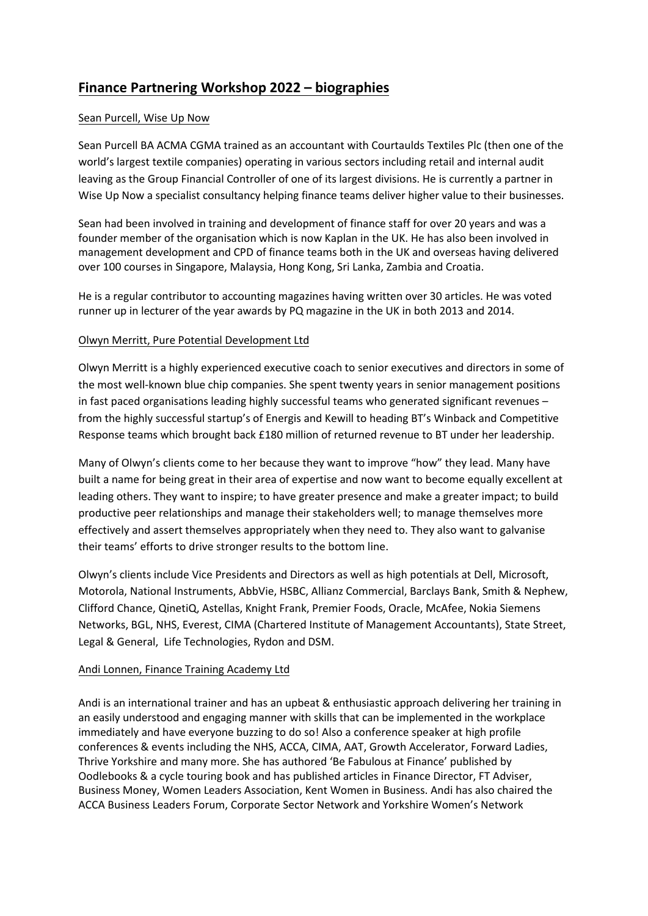# **Finance Partnering Workshop 2022 – biographies**

## Sean Purcell, Wise Up Now

Sean Purcell BA ACMA CGMA trained as an accountant with Courtaulds Textiles Plc (then one of the world's largest textile companies) operating in various sectors including retail and internal audit leaving as the Group Financial Controller of one of its largest divisions. He is currently a partner in Wise Up Now a specialist consultancy helping finance teams deliver higher value to their businesses.

Sean had been involved in training and development of finance staff for over 20 years and was a founder member of the organisation which is now Kaplan in the UK. He has also been involved in management development and CPD of finance teams both in the UK and overseas having delivered over 100 courses in Singapore, Malaysia, Hong Kong, Sri Lanka, Zambia and Croatia.

He is a regular contributor to accounting magazines having written over 30 articles. He was voted runner up in lecturer of the year awards by PQ magazine in the UK in both 2013 and 2014.

### Olwyn Merritt, Pure Potential Development Ltd

Olwyn Merritt is a highly experienced executive coach to senior executives and directors in some of the most well-known blue chip companies. She spent twenty years in senior management positions in fast paced organisations leading highly successful teams who generated significant revenues – from the highly successful startup's of Energis and Kewill to heading BT's Winback and Competitive Response teams which brought back £180 million of returned revenue to BT under her leadership.

Many of Olwyn's clients come to her because they want to improve "how" they lead. Many have built a name for being great in their area of expertise and now want to become equally excellent at leading others. They want to inspire; to have greater presence and make a greater impact; to build productive peer relationships and manage their stakeholders well; to manage themselves more effectively and assert themselves appropriately when they need to. They also want to galvanise their teams' efforts to drive stronger results to the bottom line.

Olwyn's clients include Vice Presidents and Directors as well as high potentials at Dell, Microsoft, Motorola, National Instruments, AbbVie, HSBC, Allianz Commercial, Barclays Bank, Smith & Nephew, Clifford Chance, QinetiQ, Astellas, Knight Frank, Premier Foods, Oracle, McAfee, Nokia Siemens Networks, BGL, NHS, Everest, CIMA (Chartered Institute of Management Accountants), State Street, Legal & General, Life Technologies, Rydon and DSM.

### Andi Lonnen, Finance Training Academy Ltd

Andi is an international trainer and has an upbeat & enthusiastic approach delivering her training in an easily understood and engaging manner with skills that can be implemented in the workplace immediately and have everyone buzzing to do so! Also a conference speaker at high profile conferences & events including the NHS, ACCA, CIMA, AAT, Growth Accelerator, Forward Ladies, Thrive Yorkshire and many more. She has authored 'Be Fabulous at Finance' published by Oodlebooks & a cycle touring book and has published articles in Finance Director, FT Adviser, Business Money, Women Leaders Association, Kent Women in Business. Andi has also chaired the ACCA Business Leaders Forum, Corporate Sector Network and Yorkshire Women's Network